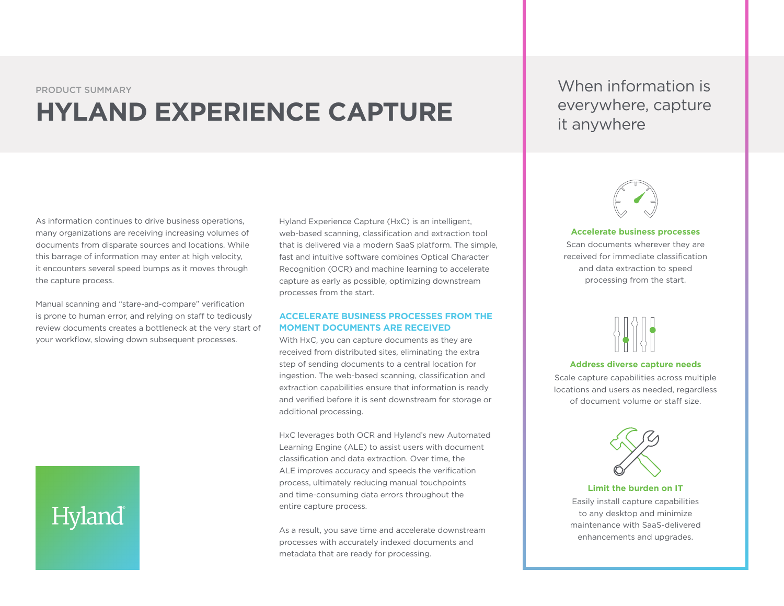PRODUCT SUMMARY

## **HYLAND EXPERIENCE CAPTURE**

When information is everywhere, capture it anywhere

As information continues to drive business operations, many organizations are receiving increasing volumes of documents from disparate sources and locations. While this barrage of information may enter at high velocity, it encounters several speed bumps as it moves through the capture process.

Manual scanning and "stare-and-compare" verification is prone to human error, and relying on staff to tediously review documents creates a bottleneck at the very start of your workflow, slowing down subsequent processes.

# Hyland

Hyland Experience Capture (HxC) is an intelligent, web-based scanning, classification and extraction tool that is delivered via a modern SaaS platform. The simple, fast and intuitive software combines Optical Character Recognition (OCR) and machine learning to accelerate capture as early as possible, optimizing downstream processes from the start.

#### **ACCELERATE BUSINESS PROCESSES FROM THE MOMENT DOCUMENTS ARE RECEIVED**

With HxC, you can capture documents as they are received from distributed sites, eliminating the extra step of sending documents to a central location for ingestion. The web-based scanning, classification and extraction capabilities ensure that information is ready and verified before it is sent downstream for storage or additional processing.

HxC leverages both OCR and Hyland's new Automated Learning Engine (ALE) to assist users with document classification and data extraction. Over time, the ALE improves accuracy and speeds the verification process, ultimately reducing manual touchpoints and time-consuming data errors throughout the entire capture process.

As a result, you save time and accelerate downstream processes with accurately indexed documents and metadata that are ready for processing.



#### **Accelerate business processes**

Scan documents wherever they are received for immediate classification and data extraction to speed processing from the start.



#### **Address diverse capture needs**

Scale capture capabilities across multiple locations and users as needed, regardless of document volume or staff size.



#### **Limit the burden on IT**

Easily install capture capabilities to any desktop and minimize maintenance with SaaS-delivered enhancements and upgrades.